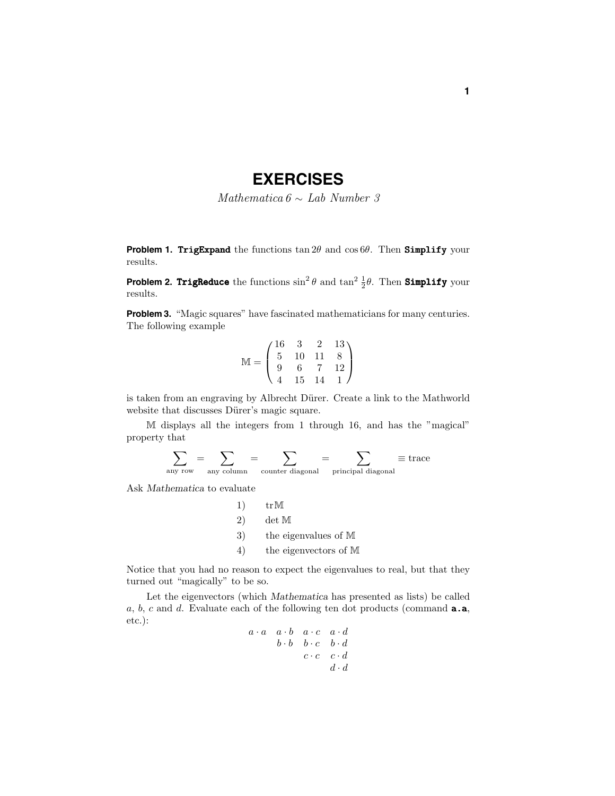## **EXERCISES**

Mathematica  $6 \sim$  Lab Number 3

**Problem 1. TrigExpand** the functions  $\tan 2\theta$  and  $\cos 6\theta$ . Then Simplify your results.

**Problem 2. TrigReduce** the functions  $\sin^2 \theta$  and  $\tan^2 \frac{1}{2} \theta$ . Then **Simplify** your results.

**Problem 3.** "Magic squares" have fascinated mathematicians for many centuries. The following example

$$
\mathbb{M} = \begin{pmatrix} 16 & 3 & 2 & 13 \\ 5 & 10 & 11 & 8 \\ 9 & 6 & 7 & 12 \\ 4 & 15 & 14 & 1 \end{pmatrix}
$$

is taken from an engraving by Albrecht Dürer. Create a link to the Mathworld website that discusses Dürer's magic square.

M displays all the integers from 1 through 16, and has the "magical" property that

$$
\sum_{\text{any row}} = \sum_{\text{any column}} = \sum_{\text{counter diagonal}} = \sum_{\text{principal diagonal}} \equiv \text{trace}
$$

Ask *Mathematica* to evaluate

| 1 | $tr\ M$                 |
|---|-------------------------|
| 2 | $det\ M$                |
| 3 | $the eigenvalues of M$  |
| 4 | $the eigenvectors of M$ |

Notice that you had no reason to expect the eigenvalues to real, but that they turned out "magically" to be so.

Let the eigenvectors (which *Mathematica* has presented as lists) be called *a*, *b*, *c* and *d*. Evaluate each of the following ten dot products (command a.a, etc.):

$$
\begin{array}{cccccc} a \cdot a & a \cdot b & a \cdot c & a \cdot d \\ & b \cdot b & b \cdot c & b \cdot d \\ & & c \cdot c & c \cdot d \\ & & & d \cdot d \end{array}
$$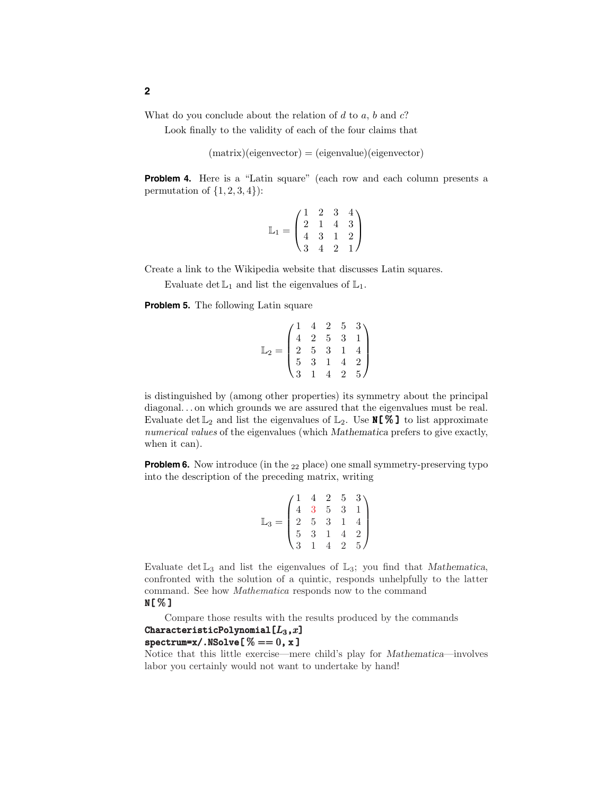What do you conclude about the relation of *d* to *a*, *b* and *c*?

Look finally to the validity of each of the four claims that

 $(matrix)(eigenvector) = (eigenvalue)(eigenvector)$ 

**Problem 4.** Here is a "Latin square" (each row and each column presents a permutation of  $\{1, 2, 3, 4\}$ :

$$
\mathbb{L}_1 = \begin{pmatrix} 1 & 2 & 3 & 4 \\ 2 & 1 & 4 & 3 \\ 4 & 3 & 1 & 2 \\ 3 & 4 & 2 & 1 \end{pmatrix}
$$

Create a link to the Wikipedia website that discusses Latin squares.

Evaluate det  $\mathbb{L}_1$  and list the eigenvalues of  $\mathbb{L}_1$ .

**Problem 5.** The following Latin square

|  |  | $\begin{array}{cccc} \prime 1 & 4 & 2 & 5 & 3 \\ 4 & 2 & 5 & 3 & 1 \\ 2 & 5 & 3 & 1 & 4 \\ 5 & 3 & 1 & 4 & 2 \\ \sqrt{3} & 1 & 4 & 2 & 5 \end{array}$ |
|--|--|-------------------------------------------------------------------------------------------------------------------------------------------------------|

is distinguished by (among other properties) its symmetry about the principal diagonal...on which grounds we are assured that the eigenvalues must be real. Evaluate det  $\mathbb{L}_2$  and list the eigenvalues of  $\mathbb{L}_2$ . Use **N[%]** to list approximate numerical values of the eigenvalues (which *Mathematica* prefers to give exactly, when it can).

**Problem 6.** Now introduce (in the <sub>22</sub> place) one small symmetry-preserving typo into the description of the preceding matrix, writing

$$
\mathbb{L}_3 = \begin{pmatrix} 1 & 4 & 2 & 5 & 3 \\ 4 & 3 & 5 & 3 & 1 \\ 2 & 5 & 3 & 1 & 4 \\ 5 & 3 & 1 & 4 & 2 \\ 3 & 1 & 4 & 2 & 5 \end{pmatrix}
$$

Evaluate  $\det \mathbb{L}_3$  and list the eigenvalues of  $\mathbb{L}_3$ ; you find that *Mathematica*, confronted with the solution of a quintic, responds unhelpfully to the latter command. See how Mathematica responds now to the command N[ % ]

Compare those results with the results produced by the commands CharacteristicPolynomial $[L_3,x]$  $spectrum=x/.\text{NSolve}$ [% == 0, x]

Notice that this little exercise—mere child's play for *Mathematica*—involves labor you certainly would not want to undertake by hand!

**2**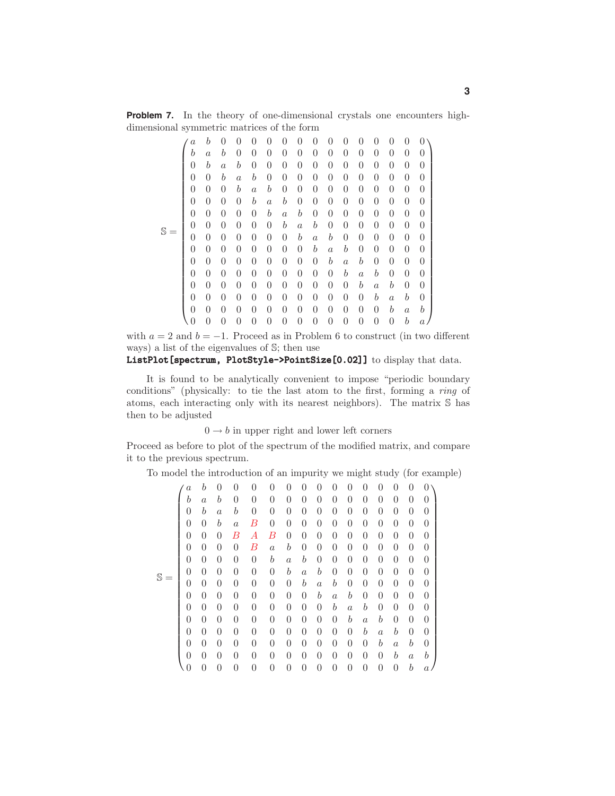**Problem 7.** In the theory of one-dimensional crystals one encounters highdimensional symmetric matrices of the form

|  | $\it a$          | b              | 0                | 0                | 0                | 0                | 0                | 0                | $\theta$         | 0                | 0                | 0                | $\theta$         | 0                | $\overline{0}$   | 0                |
|--|------------------|----------------|------------------|------------------|------------------|------------------|------------------|------------------|------------------|------------------|------------------|------------------|------------------|------------------|------------------|------------------|
|  | $\boldsymbol{b}$ | $\overline{a}$ | b                | 0                | 0                | 0                | $\theta$         | 0                | $\overline{0}$   | 0                | 0                | 0                | 0                | $\overline{0}$   | $\overline{0}$   | $\overline{0}$   |
|  | $\overline{0}$   | b              | $\boldsymbol{a}$ | $\boldsymbol{b}$ | 0                | $\overline{0}$   | $\overline{0}$   | $\overline{0}$   | $\overline{0}$   | 0                | $\overline{0}$   | 0                | $\overline{0}$   | $\overline{0}$   | $\overline{0}$   | $\overline{0}$   |
|  | $\overline{0}$   | $\theta$       | b                | $\overline{a}$   | b                | $\overline{0}$   | $\overline{0}$   | $\overline{0}$   | $\overline{0}$   | $\overline{0}$   | 0                | 0                | $\overline{0}$   | $\theta$         | $\overline{0}$   | $\overline{0}$   |
|  | $\overline{0}$   | $\overline{0}$ | $\theta$         | $\boldsymbol{b}$ | $\boldsymbol{a}$ | $\boldsymbol{b}$ | $\overline{0}$   | $\overline{0}$   | $\overline{0}$   | $\overline{0}$   | $\overline{0}$   | 0                | $\overline{0}$   | $\overline{0}$   | $\overline{0}$   | $\overline{0}$   |
|  | $\overline{0}$   | $\overline{0}$ | $\overline{0}$   | 0                | $\boldsymbol{b}$ | $\alpha$         | $\boldsymbol{b}$ | $\boldsymbol{0}$ | $\overline{0}$   | 0                | $\overline{0}$   | 0                | $\overline{0}$   | $\overline{0}$   | $\overline{0}$   | $\boldsymbol{0}$ |
|  | $\overline{0}$   | $\theta$       | $\overline{0}$   | $\overline{0}$   | $\overline{0}$   | $\boldsymbol{b}$ | $\boldsymbol{a}$ | $\boldsymbol{b}$ | $\overline{0}$   | $\overline{0}$   | $\overline{0}$   | 0                | $\overline{0}$   | $\overline{0}$   | $\overline{0}$   | $\overline{0}$   |
|  | $\overline{0}$   | $\overline{0}$ | $\overline{0}$   | $\overline{0}$   | $\overline{0}$   | $\overline{0}$   | $\boldsymbol{b}$ | $\boldsymbol{a}$ | $\boldsymbol{b}$ | $\overline{0}$   | $\overline{0}$   | $\overline{0}$   | $\overline{0}$   | $\overline{0}$   | $\overline{0}$   | $\boldsymbol{0}$ |
|  | $\overline{0}$   | $\overline{0}$ | $\overline{0}$   | $\overline{0}$   | $\overline{0}$   | $\overline{0}$   | $\overline{0}$   | $\boldsymbol{b}$ | $\boldsymbol{a}$ | $\boldsymbol{b}$ | $\overline{0}$   | 0                | $\overline{0}$   | $\overline{0}$   | $\overline{0}$   | $\boldsymbol{0}$ |
|  | $\overline{0}$   | $\theta$       | $\overline{0}$   | $\overline{0}$   | $\overline{0}$   | $\overline{0}$   | $\overline{0}$   | $\overline{0}$   | $\boldsymbol{b}$ | $\boldsymbol{a}$ | $\boldsymbol{b}$ | 0                | $\overline{0}$   | $\overline{0}$   | $\overline{0}$   | $\overline{0}$   |
|  | $\boldsymbol{0}$ | $\theta$       | $\theta$         | $\overline{0}$   | $\overline{0}$   | $\overline{0}$   | $\overline{0}$   | $\overline{0}$   | $\overline{0}$   | $\boldsymbol{b}$ | $\alpha$         | $\boldsymbol{b}$ | $\overline{0}$   | $\overline{0}$   | $\overline{0}$   | $\boldsymbol{0}$ |
|  | $\overline{0}$   | $\overline{0}$ | $\overline{0}$   | $\overline{0}$   | $\overline{0}$   | $\overline{0}$   | $\overline{0}$   | $\overline{0}$   | $\overline{0}$   | 0                | $\boldsymbol{b}$ | $\overline{a}$   | $\boldsymbol{b}$ | $\overline{0}$   | $\boldsymbol{0}$ | $\boldsymbol{0}$ |
|  | $\overline{0}$   | $\overline{0}$ | $\overline{0}$   | $\overline{0}$   | $\overline{0}$   | $\overline{0}$   | $\overline{0}$   | $\overline{0}$   | $\overline{0}$   | 0                | $\overline{0}$   | $\boldsymbol{b}$ | $\boldsymbol{a}$ | $\boldsymbol{b}$ | $\overline{0}$   | $\boldsymbol{0}$ |
|  | $\overline{0}$   | $\theta$       | 0                | 0                | 0                | $\theta$         | $\theta$         | 0                | 0                | $\boldsymbol{0}$ | 0                | 0                | $\boldsymbol{b}$ | $\alpha$         | $\boldsymbol{b}$ | $\overline{0}$   |
|  | $\overline{0}$   | $\overline{0}$ | $\overline{0}$   | $\theta$         | $\overline{0}$   | $\theta$         | $\overline{0}$   | $\overline{0}$   | $\overline{0}$   | $\overline{0}$   | $\overline{0}$   | 0                | $\overline{0}$   | $\boldsymbol{b}$ | $\alpha$         | $\boldsymbol{b}$ |
|  | $\overline{0}$   | $\overline{0}$ | $\theta$         | $\overline{0}$   | $\overline{0}$   | $\overline{0}$   | $\overline{0}$   | $\overline{0}$   | $\overline{0}$   | 0                | $\overline{0}$   | 0                | $\overline{0}$   | $\overline{0}$   | $\boldsymbol{b}$ | $\boldsymbol{a}$ |

with  $a = 2$  and  $b = -1$ . Proceed as in Problem 6 to construct (in two different ways) a list of the eigenvalues of S; then use

## ListPlot[spectrum, PlotStyle->PointSize[0.02]] to display that data.

It is found to be analytically convenient to impose "periodic boundary conditions" (physically: to tie the last atom to the first, forming a ring of atoms, each interacting only with its nearest neighbors). The matrix S has then to be adjusted

 $0 \rightarrow b$  in upper right and lower left corners

Proceed as before to plot of the spectrum of the modified matrix, and compare it to the previous spectrum.

To model the introduction of an impurity we might study (for example)

|                | $\overline{a}$   | $\boldsymbol{b}$ | 0                | $\overline{0}$ | 0              | $\theta$         | 0                | 0                | 0              | $\theta$         | 0                | 0                | 0                | 0                | 0              | 0              |
|----------------|------------------|------------------|------------------|----------------|----------------|------------------|------------------|------------------|----------------|------------------|------------------|------------------|------------------|------------------|----------------|----------------|
| $\mathbb{S} =$ | b                | $\alpha$         | $\boldsymbol{b}$ | $\overline{0}$ | 0              | $\theta$         | 0                | $\theta$         | 0              | $\theta$         | $\theta$         | 0                | 0                | 0                | 0              | 0              |
|                | $\overline{0}$   | b                | $\alpha$         | b              | 0              | $\theta$         | 0                | $\theta$         | 0              | $\theta$         | $\theta$         | 0                | 0                | $\overline{0}$   | $\overline{0}$ | $\overline{0}$ |
|                | 0                | 0                | $\boldsymbol{b}$ | $\alpha$       | В              | $\theta$         | $\theta$         | $\theta$         | 0              | $\boldsymbol{0}$ | 0                | 0                | 0                | $\overline{0}$   | $\overline{0}$ | $\overline{0}$ |
|                | $\theta$         | $\overline{0}$   | 0                | В              | А              | В                | $\theta$         | $\theta$         | $\theta$       | $\theta$         | $\theta$         | $\theta$         | 0                | $\overline{0}$   | 0              | 0              |
|                | $\overline{0}$   | $\overline{0}$   | $\theta$         | $\theta$       | В              | $\boldsymbol{a}$ | b                | $\overline{0}$   | $\overline{0}$ | $\overline{0}$   | $\overline{0}$   | $\theta$         | $\overline{0}$   | $\overline{0}$   | $\overline{0}$ | $\overline{0}$ |
|                | 0                | 0                | $\theta$         | $\overline{0}$ | $\overline{0}$ | $\boldsymbol{b}$ | $\alpha$         | b                | 0              | $\boldsymbol{0}$ | 0                | $\theta$         | $\boldsymbol{0}$ | $\overline{0}$   | $\overline{0}$ | 0              |
|                | $\theta$         | $\overline{0}$   | $\theta$         | $\theta$       | 0              | $\theta$         | $\boldsymbol{b}$ | $\alpha$         | b              | $\overline{0}$   | $\overline{0}$   | $\overline{0}$   | 0                | $\overline{0}$   | $\overline{0}$ | $\overline{0}$ |
|                | $\boldsymbol{0}$ | 0                | 0                | $\overline{0}$ | 0              | $\boldsymbol{0}$ | $\overline{0}$   | $\boldsymbol{b}$ | $\alpha$       | b                | 0                | $\overline{0}$   | 0                | $\overline{0}$   | $\overline{0}$ | 0              |
|                | $\overline{0}$   | $\theta$         | $\theta$         | $\theta$       | 0              | $\theta$         | $\overline{0}$   | $\theta$         | b              | $\boldsymbol{a}$ | $\boldsymbol{b}$ | $\overline{0}$   | $\theta$         | $\overline{0}$   | $\overline{0}$ | $\overline{0}$ |
|                | $\overline{0}$   | $\overline{0}$   | $\overline{0}$   | $\overline{0}$ | 0              | $\theta$         | $\overline{0}$   | $\theta$         | $\overline{0}$ | $\boldsymbol{b}$ | $\alpha$         | b                | 0                | $\overline{0}$   | $\overline{0}$ | $\overline{0}$ |
|                | $\overline{0}$   | $\overline{0}$   | 0                | $\overline{0}$ | 0              | $\boldsymbol{0}$ | $\overline{0}$   | 0                | $\overline{0}$ | $\overline{0}$   | $\boldsymbol{b}$ | $\alpha$         | b                | $\overline{0}$   | 0              | $\overline{0}$ |
|                | $\theta$         | $\theta$         | 0                | $\theta$       | 0              | $\theta$         | 0                | $\theta$         | 0              | $\theta$         | $\theta$         | $\boldsymbol{b}$ | $\overline{a}$   | $\boldsymbol{b}$ | $\overline{0}$ | 0              |
|                | 0                | $\overline{0}$   | $\theta$         | $\overline{0}$ | 0              | $\theta$         | $\theta$         | $\theta$         | $\theta$       | $\theta$         | $\theta$         | $\theta$         | $\boldsymbol{b}$ | $\alpha$         | b              | $\overline{0}$ |
|                | $\overline{0}$   | $\overline{0}$   | $\theta$         | $\overline{0}$ | 0              | $\theta$         | $\theta$         | $\theta$         | $\theta$       | $\theta$         | $\theta$         | $\theta$         | $\overline{0}$   | $\boldsymbol{b}$ | $\alpha$       | b              |
|                | $\overline{0}$   | $\theta$         | $\theta$         | $\theta$       | 0              | $\theta$         | $\overline{0}$   | $\overline{0}$   | $\overline{0}$ | $\overline{0}$   | $\overline{0}$   | $\overline{0}$   | 0                | $\theta$         | b              | а              |